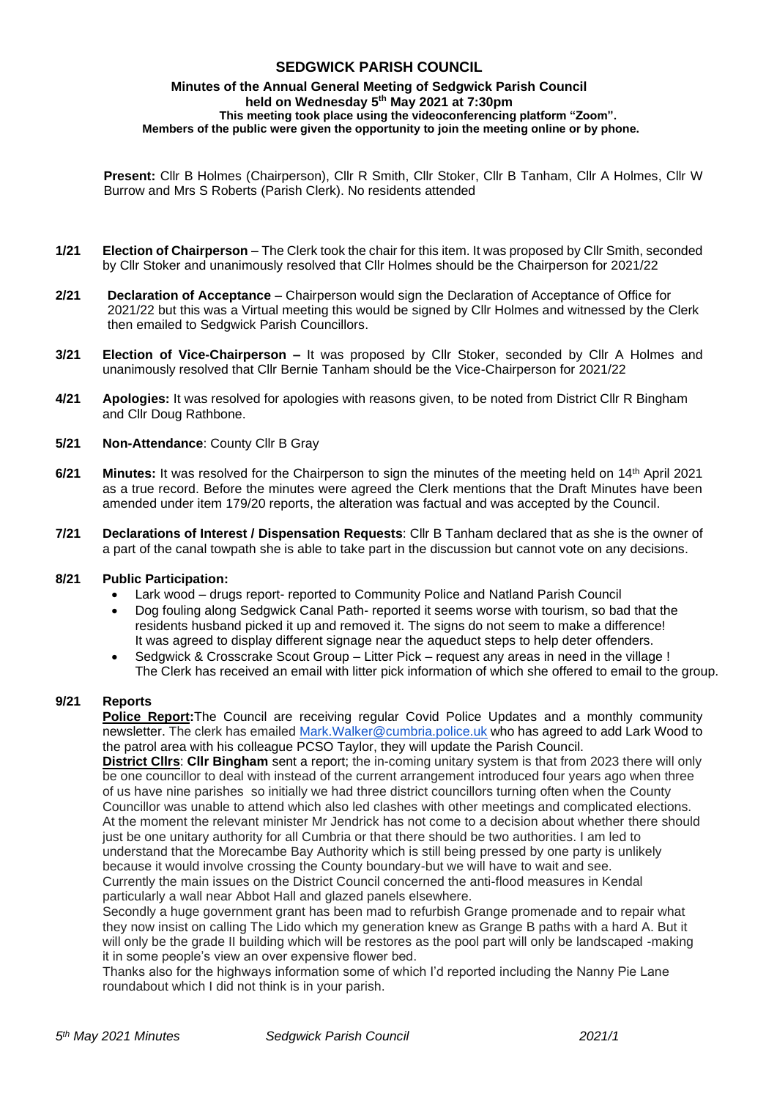# **SEDGWICK PARISH COUNCIL**

#### **Minutes of the Annual General Meeting of Sedgwick Parish Council held on Wednesday 5 th May 2021 at 7:30pm This meeting took place using the videoconferencing platform "Zoom". Members of the public were given the opportunity to join the meeting online or by phone.**

**Present:** Cllr B Holmes (Chairperson), Cllr R Smith, Cllr Stoker, Cllr B Tanham, Cllr A Holmes, Cllr W Burrow and Mrs S Roberts (Parish Clerk). No residents attended

- **1/21 Election of Chairperson** The Clerk took the chair for this item. It was proposed by Cllr Smith, seconded by Cllr Stoker and unanimously resolved that Cllr Holmes should be the Chairperson for 2021/22
- **2/21 Declaration of Acceptance**  Chairperson would sign the Declaration of Acceptance of Office for 2021/22 but this was a Virtual meeting this would be signed by Cllr Holmes and witnessed by the Clerk then emailed to Sedgwick Parish Councillors.
- **3/21 Election of Vice-Chairperson –** It was proposed by Cllr Stoker, seconded by Cllr A Holmes and unanimously resolved that Cllr Bernie Tanham should be the Vice-Chairperson for 2021/22
- **4/21 Apologies:** It was resolved for apologies with reasons given, to be noted from District Cllr R Bingham and Cllr Doug Rathbone.
- **5/21 Non-Attendance**: County Cllr B Gray
- **6/21 Minutes:** It was resolved for the Chairperson to sign the minutes of the meeting held on 14th April 2021 as a true record. Before the minutes were agreed the Clerk mentions that the Draft Minutes have been amended under item 179/20 reports, the alteration was factual and was accepted by the Council.
- **7/21 Declarations of Interest / Dispensation Requests**: Cllr B Tanham declared that as she is the owner of a part of the canal towpath she is able to take part in the discussion but cannot vote on any decisions.

#### **8/21 Public Participation:**

- Lark wood drugs report- reported to Community Police and Natland Parish Council
- Dog fouling along Sedgwick Canal Path- reported it seems worse with tourism, so bad that the residents husband picked it up and removed it. The signs do not seem to make a difference! It was agreed to display different signage near the aqueduct steps to help deter offenders.
- Sedgwick & Crosscrake Scout Group Litter Pick request any areas in need in the village ! The Clerk has received an email with litter pick information of which she offered to email to the group.

#### **9/21 Reports**

**Police Report:**The Council are receiving regular Covid Police Updates and a monthly community newsletter. The clerk has emailed Mark. Walker@cumbria.police.uk who has agreed to add Lark Wood to the patrol area with his colleague PCSO Taylor, they will update the Parish Council.

**District Cllrs**: **Cllr Bingham** sent a report; the in-coming unitary system is that from 2023 there will only be one councillor to deal with instead of the current arrangement introduced four years ago when three of us have nine parishes so initially we had three district councillors turning often when the County Councillor was unable to attend which also led clashes with other meetings and complicated elections. At the moment the relevant minister Mr Jendrick has not come to a decision about whether there should just be one unitary authority for all Cumbria or that there should be two authorities. I am led to understand that the Morecambe Bay Authority which is still being pressed by one party is unlikely because it would involve crossing the County boundary-but we will have to wait and see. Currently the main issues on the District Council concerned the anti-flood measures in Kendal particularly a wall near Abbot Hall and glazed panels elsewhere.

Secondly a huge government grant has been mad to refurbish Grange promenade and to repair what they now insist on calling The Lido which my generation knew as Grange B paths with a hard A. But it will only be the grade II building which will be restores as the pool part will only be landscaped -making it in some people's view an over expensive flower bed.

Thanks also for the highways information some of which I'd reported including the Nanny Pie Lane roundabout which I did not think is in your parish.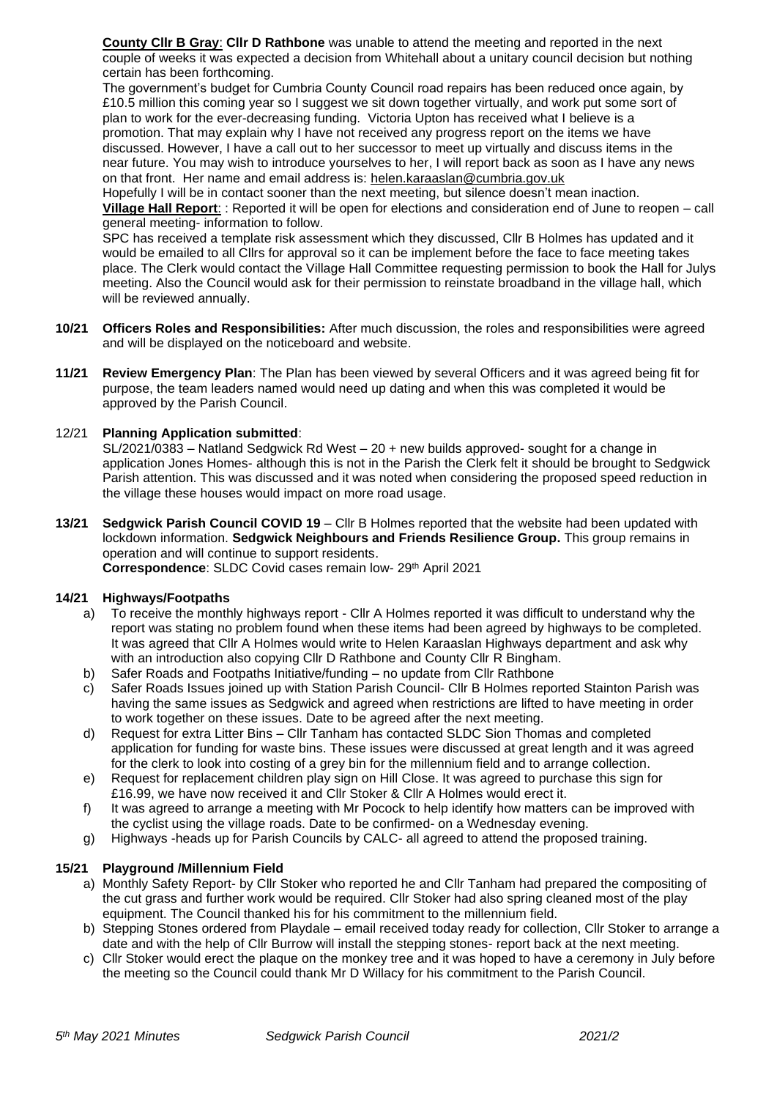**County Cllr B Gray**: **Cllr D Rathbone** was unable to attend the meeting and reported in the next couple of weeks it was expected a decision from Whitehall about a unitary council decision but nothing certain has been forthcoming.

The government's budget for Cumbria County Council road repairs has been reduced once again, by £10.5 million this coming year so I suggest we sit down together virtually, and work put some sort of plan to work for the ever-decreasing funding. Victoria Upton has received what I believe is a promotion. That may explain why I have not received any progress report on the items we have discussed. However, I have a call out to her successor to meet up virtually and discuss items in the near future. You may wish to introduce yourselves to her, I will report back as soon as I have any news on that front. Her name and email address is: [helen.karaaslan@cumbria.gov.uk](mailto:helen.karaaslan@cumbria.gov.uk)

Hopefully I will be in contact sooner than the next meeting, but silence doesn't mean inaction. **Village Hall Report**: : Reported it will be open for elections and consideration end of June to reopen – call general meeting- information to follow.

SPC has received a template risk assessment which they discussed, Cllr B Holmes has updated and it would be emailed to all Cllrs for approval so it can be implement before the face to face meeting takes place. The Clerk would contact the Village Hall Committee requesting permission to book the Hall for Julys meeting. Also the Council would ask for their permission to reinstate broadband in the village hall, which will be reviewed annually.

- **10/21 Officers Roles and Responsibilities:** After much discussion, the roles and responsibilities were agreed and will be displayed on the noticeboard and website.
- **11/21 Review Emergency Plan**: The Plan has been viewed by several Officers and it was agreed being fit for purpose, the team leaders named would need up dating and when this was completed it would be approved by the Parish Council.

## 12/21 **Planning Application submitted**:

SL/2021/0383 – Natland Sedgwick Rd West – 20 + new builds approved- sought for a change in application Jones Homes- although this is not in the Parish the Clerk felt it should be brought to Sedgwick Parish attention. This was discussed and it was noted when considering the proposed speed reduction in the village these houses would impact on more road usage.

**13/21 Sedgwick Parish Council COVID 19** – Cllr B Holmes reported that the website had been updated with lockdown information. **Sedgwick Neighbours and Friends Resilience Group.** This group remains in operation and will continue to support residents. **Correspondence: SLDC Covid cases remain low- 29th April 2021** 

## **14/21 Highways/Footpaths**

- a) To receive the monthly highways report Cllr A Holmes reported it was difficult to understand why the report was stating no problem found when these items had been agreed by highways to be completed. It was agreed that Cllr A Holmes would write to Helen Karaaslan Highways department and ask why with an introduction also copying Cllr D Rathbone and County Cllr R Bingham.
- b) Safer Roads and Footpaths Initiative/funding no update from Cllr Rathbone
- c) Safer Roads Issues joined up with Station Parish Council- Cllr B Holmes reported Stainton Parish was having the same issues as Sedgwick and agreed when restrictions are lifted to have meeting in order to work together on these issues. Date to be agreed after the next meeting.
- d) Request for extra Litter Bins Cllr Tanham has contacted SLDC Sion Thomas and completed application for funding for waste bins. These issues were discussed at great length and it was agreed for the clerk to look into costing of a grey bin for the millennium field and to arrange collection.
- e) Request for replacement children play sign on Hill Close. It was agreed to purchase this sign for £16.99, we have now received it and Cllr Stoker & Cllr A Holmes would erect it.
- f) It was agreed to arrange a meeting with Mr Pocock to help identify how matters can be improved with the cyclist using the village roads. Date to be confirmed- on a Wednesday evening.
- g) Highways -heads up for Parish Councils by CALC- all agreed to attend the proposed training.

## **15/21 Playground /Millennium Field**

- a) Monthly Safety Report- by Cllr Stoker who reported he and Cllr Tanham had prepared the compositing of the cut grass and further work would be required. Cllr Stoker had also spring cleaned most of the play equipment. The Council thanked his for his commitment to the millennium field.
- b) Stepping Stones ordered from Playdale email received today ready for collection, Cllr Stoker to arrange a date and with the help of Cllr Burrow will install the stepping stones- report back at the next meeting.
- c) Cllr Stoker would erect the plaque on the monkey tree and it was hoped to have a ceremony in July before the meeting so the Council could thank Mr D Willacy for his commitment to the Parish Council.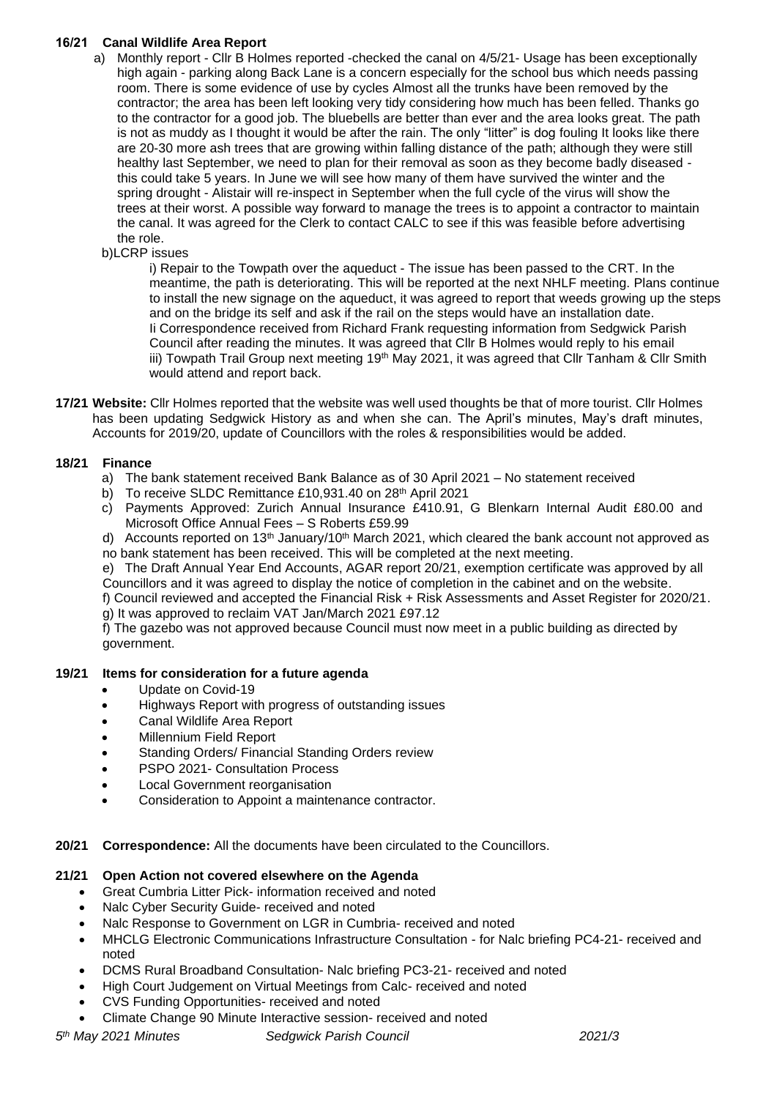# **16/21 Canal Wildlife Area Report**

- a) Monthly report Cllr B Holmes reported -checked the canal on 4/5/21- Usage has been exceptionally high again - parking along Back Lane is a concern especially for the school bus which needs passing room. There is some evidence of use by cycles Almost all the trunks have been removed by the contractor; the area has been left looking very tidy considering how much has been felled. Thanks go to the contractor for a good job. The bluebells are better than ever and the area looks great. The path is not as muddy as I thought it would be after the rain. The only "litter" is dog fouling It looks like there are 20-30 more ash trees that are growing within falling distance of the path; although they were still healthy last September, we need to plan for their removal as soon as they become badly diseased this could take 5 years. In June we will see how many of them have survived the winter and the spring drought - Alistair will re-inspect in September when the full cycle of the virus will show the trees at their worst. A possible way forward to manage the trees is to appoint a contractor to maintain the canal. It was agreed for the Clerk to contact CALC to see if this was feasible before advertising the role.
	- b)LCRP issues

i) Repair to the Towpath over the aqueduct - The issue has been passed to the CRT. In the meantime, the path is deteriorating. This will be reported at the next NHLF meeting. Plans continue to install the new signage on the aqueduct, it was agreed to report that weeds growing up the steps and on the bridge its self and ask if the rail on the steps would have an installation date. Ii Correspondence received from Richard Frank requesting information from Sedgwick Parish Council after reading the minutes. It was agreed that Cllr B Holmes would reply to his email iii) Towpath Trail Group next meeting  $19<sup>th</sup>$  May 2021, it was agreed that Cllr Tanham & Cllr Smith would attend and report back.

**17/21 Website:** Cllr Holmes reported that the website was well used thoughts be that of more tourist. Cllr Holmes has been updating Sedgwick History as and when she can. The April's minutes, May's draft minutes, Accounts for 2019/20, update of Councillors with the roles & responsibilities would be added.

# **18/21 Finance**

- a) The bank statement received Bank Balance as of 30 April 2021 No statement received
- b) To receive SLDC Remittance £10,931.40 on 28<sup>th</sup> April 2021
- c) Payments Approved: Zurich Annual Insurance £410.91, G Blenkarn Internal Audit £80.00 and Microsoft Office Annual Fees – S Roberts £59.99
- d) Accounts reported on 13<sup>th</sup> January/10<sup>th</sup> March 2021, which cleared the bank account not approved as no bank statement has been received. This will be completed at the next meeting.

e) The Draft Annual Year End Accounts, AGAR report 20/21, exemption certificate was approved by all Councillors and it was agreed to display the notice of completion in the cabinet and on the website.

f) Council reviewed and accepted the Financial Risk + Risk Assessments and Asset Register for 2020/21. g) It was approved to reclaim VAT Jan/March 2021 £97.12

f) The gazebo was not approved because Council must now meet in a public building as directed by government.

## **19/21 Items for consideration for a future agenda**

- Update on Covid-19
- Highways Report with progress of outstanding issues
- Canal Wildlife Area Report
- Millennium Field Report
- Standing Orders/ Financial Standing Orders review
- PSPO 2021- Consultation Process
- Local Government reorganisation
- Consideration to Appoint a maintenance contractor.
- **20/21 Correspondence:** All the documents have been circulated to the Councillors.

## **21/21 Open Action not covered elsewhere on the Agenda**

- Great Cumbria Litter Pick- information received and noted
- Nalc Cyber Security Guide- received and noted
- Nalc Response to Government on LGR in Cumbria- received and noted
- MHCLG Electronic Communications Infrastructure Consultation for Nalc briefing PC4-21- received and noted
- DCMS Rural Broadband Consultation- Nalc briefing PC3-21- received and noted
- High Court Judgement on Virtual Meetings from Calc- received and noted
- CVS Funding Opportunities- received and noted
- Climate Change 90 Minute Interactive session- received and noted